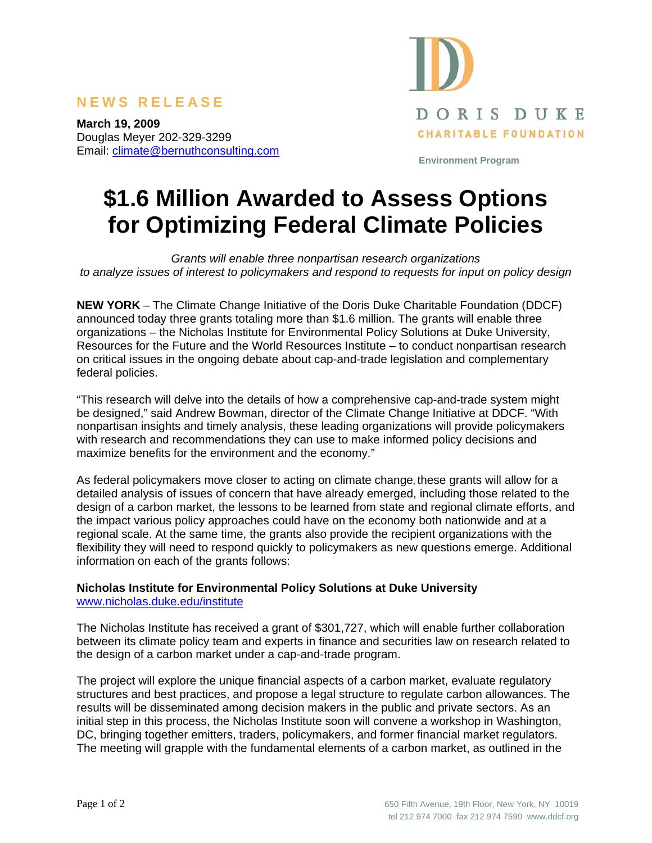## **NEWS RELEASE**

**March 19, 2009**  Douglas Meyer 202-329-3299 Email: climate@bernuthconsulting.com



**Environment Program** 

# **\$1.6 Million Awarded to Assess Options for Optimizing Federal Climate Policies**

*Grants will enable three nonpartisan research organizations to analyze issues of interest to policymakers and respond to requests for input on policy design* 

**NEW YORK** – The Climate Change Initiative of the Doris Duke Charitable Foundation (DDCF) announced today three grants totaling more than \$1.6 million. The grants will enable three organizations – the Nicholas Institute for Environmental Policy Solutions at Duke University, Resources for the Future and the World Resources Institute – to conduct nonpartisan research on critical issues in the ongoing debate about cap-and-trade legislation and complementary federal policies.

"This research will delve into the details of how a comprehensive cap-and-trade system might be designed," said Andrew Bowman, director of the Climate Change Initiative at DDCF. "With nonpartisan insights and timely analysis, these leading organizations will provide policymakers with research and recommendations they can use to make informed policy decisions and maximize benefits for the environment and the economy."

As federal policymakers move closer to acting on climate change, these grants will allow for a detailed analysis of issues of concern that have already emerged, including those related to the design of a carbon market, the lessons to be learned from state and regional climate efforts, and the impact various policy approaches could have on the economy both nationwide and at a regional scale. At the same time, the grants also provide the recipient organizations with the flexibility they will need to respond quickly to policymakers as new questions emerge. Additional information on each of the grants follows:

#### **Nicholas Institute for Environmental Policy Solutions at Duke University**  www.nicholas.duke.edu/institute

The Nicholas Institute has received a grant of \$301,727, which will enable further collaboration between its climate policy team and experts in finance and securities law on research related to the design of a carbon market under a cap-and-trade program.

The project will explore the unique financial aspects of a carbon market, evaluate regulatory structures and best practices, and propose a legal structure to regulate carbon allowances. The results will be disseminated among decision makers in the public and private sectors. As an initial step in this process, the Nicholas Institute soon will convene a workshop in Washington, DC, bringing together emitters, traders, policymakers, and former financial market regulators. The meeting will grapple with the fundamental elements of a carbon market, as outlined in the